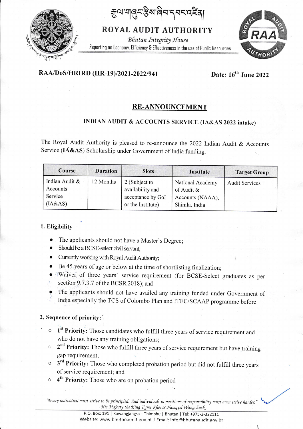য়ৣ৽৸ৼঀৗ৻৻৸৸ৼ৻ৼ৻ড়৸ৼ

ROYAL AUDIT AUTHORITY

**Bhutan Integrity House** Reporting on Economy, Efficiency & Effectiveness in the use of Public Resources



# RAA/DoS/HRIRD (HR-19)/2021-2022/941

Date: 16th June 2022

# **RE-ANNOUNCEMENT**

# INDIAN AUDIT & ACCOUNTS SERVICE (IA&AS 2022 intake)

The Royal Audit Authority is pleased to re-announce the 2022 Indian Audit & Accounts Service (IA&AS) Scholarship under Government of India funding.

| Course                                           | <b>Duration</b> | <b>Slots</b>                                                                | Institute                                                              | <b>Target Group</b>   |
|--------------------------------------------------|-----------------|-----------------------------------------------------------------------------|------------------------------------------------------------------------|-----------------------|
| Indian Audit &<br>Accounts<br>Service<br>(IA&AS) | 12 Months       | 2 (Subject to<br>availability and<br>acceptance by GoI<br>or the Institute) | National Academy<br>of Audit $\&$<br>Accounts (NAAA),<br>Shimla, India | <b>Audit Services</b> |

### 1. Eligibility

- The applicants should not have a Master's Degree;
- Should be a BCSE-select civil servant:
- Currently working with Royal Audit Authority;
- Be 45 years of age or below at the time of shortlisting finalization;
- Waiver of three years' service requirement (for BCSE-Select graduates as per section 9.7.3.7 of the BCSR 2018); and
- The applicants should not have availed any training funded under Government of India especially the TCS of Colombo Plan and ITEC/SCAAP programme before.

### 2. Sequence of priority:

- $\circ$  1<sup>st</sup> Priority: Those candidates who fulfill three years of service requirement and who do not have any training obligations;
- 2<sup>nd</sup> Priority: Those who fulfill three years of service requirement but have training  $\circ$ gap requirement:
- $\circ$  3<sup>rd</sup> Priority: Those who completed probation period but did not fulfill three years of service requirement; and
- 4<sup>th</sup> Priority: Those who are on probation period  $\circ$

"Every individual must strive to be principled. And individuals in positions of responsibility must even strive harder. - His Majesty the King Jigme Khesar Namgyel Wangchuck